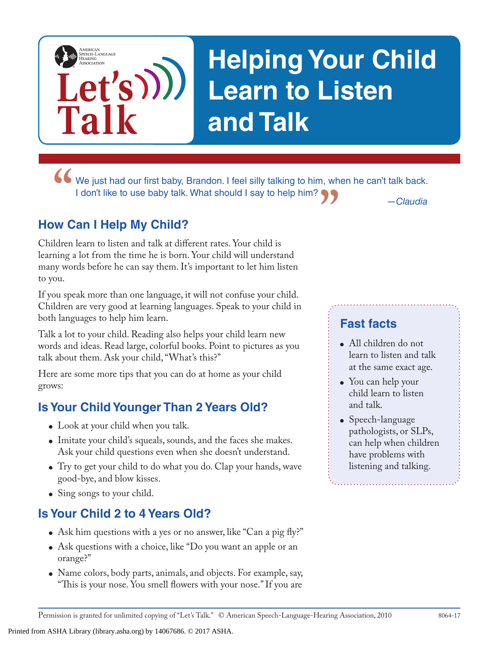# **Helping Your Child Learn to Listen and Talk**

**"** We just had our first baby, Brandon. I feel silly talking to him, when he can't talk back.<br>
I don't like to use baby talk. What should I say to help him?<br> **WARKATHERENT CONTRANT CONTRANT CONTRANT CONTRANT CONTRANT CONT "** *—Claudia* I don't like to use baby talk. What should I say to help him?

#### **How Can I Help My Child?**

**Let's**

**Talk**

AMERICAN<br>SPEECH-LANGUAGE-<br>HEARING<br>ASSOCIATION

Children learn to listen and talk at different rates. Your child is learning a lot from the time he is born. Your child will understand many words before he can say them. It's important to let him listen to you.

If you speak more than one language, it will not confuse your child. Children are very good at learning languages. Speak to your child in both languages to help him learn.

Talk a lot to your child. Reading also helps your child learn new words and ideas. Read large, colorful books. Point to pictures as you talk about them. Ask your child, "What's this?"

Here are some more tips that you can do at home as your child grows:

#### **Is Your Child Younger Than 2 Years Old?**

- Look at your child when you talk.
- Imitate your child's squeals, sounds, and the faces she makes. Ask your child questions even when she doesn't understand.
- Try to get your child to do what you do. Clap your hands, wave good-bye, and blow kisses.
- Sing songs to your child.

#### **Is Your Child 2 to 4 Years Old?**

Printed from ASHA Library (library.asha.org) by 14067686. © 2017 ASHA.

- Ask him questions with a yes or no answer, like "Can a pig fly?"
- Ask questions with a choice, like "Do you want an apple or an orange?"
- Name colors, body parts, animals, and objects. For example, say, "This is your nose. You smell flowers with your nose." If you are

### **Fast facts**

- All children do not learn to listen and talk at the same exact age.
- You can help your child learn to listen and talk.
- Speech-language pathologists, or SLPs, can help when children have problems with listening and talking.